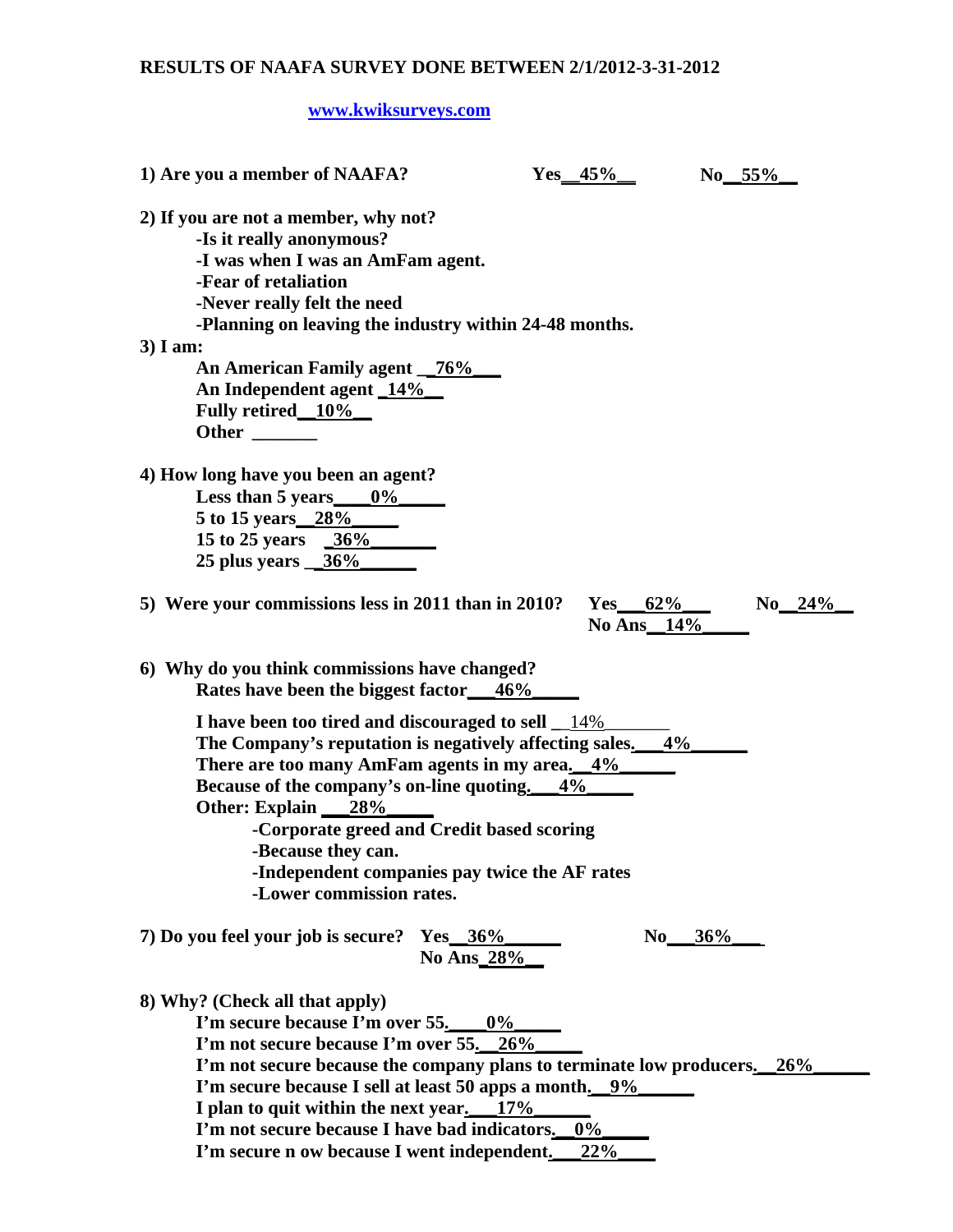## **RESULTS OF NAAFA SURVEY DONE BETWEEN 2/1/2012-3-31-2012**

## **[www.kwiksurveys.com](http://www.kwiksurveys.com/)**

| 1) Are you a member of NAAFA?                                                                                                                                                                                                                                                                                                                                                                          | $Yes_45\%$               | $No_55\%$ |            |
|--------------------------------------------------------------------------------------------------------------------------------------------------------------------------------------------------------------------------------------------------------------------------------------------------------------------------------------------------------------------------------------------------------|--------------------------|-----------|------------|
| 2) If you are not a member, why not?<br>-Is it really anonymous?<br>-I was when I was an AmFam agent.<br>-Fear of retaliation<br>-Never really felt the need<br>-Planning on leaving the industry within 24-48 months.                                                                                                                                                                                 |                          |           |            |
| $3)$ I am:                                                                                                                                                                                                                                                                                                                                                                                             |                          |           |            |
| An American Family agent _76%<br>An Independent agent 14%<br>Fully retired 10%<br>Other $\qquad \qquad$                                                                                                                                                                                                                                                                                                |                          |           |            |
| 4) How long have you been an agent?<br>Less than 5 years $0\%$<br>5 to 15 years 28%<br>15 to 25 years $36\%$<br>$25$ plus years $\frac{36\%}{25}$                                                                                                                                                                                                                                                      |                          |           |            |
| 5) Were your commissions less in 2011 than in 2010?                                                                                                                                                                                                                                                                                                                                                    | Yes $62\%$<br>No Ans_14% |           | $No\_24\%$ |
| 6) Why do you think commissions have changed?<br>Rates have been the biggest factor 46%                                                                                                                                                                                                                                                                                                                |                          |           |            |
| I have been too tired and discouraged to sell $\_\,\!14\%$<br>The Company's reputation is negatively affecting sales. $4\%$<br>There are too many AmFam agents in my area. 4%<br>Because of the company's on-line quoting. 4%<br>Other: Explain 28%<br>-Corporate greed and Credit based scoring<br>-Because they can.<br>-Independent companies pay twice the AF rates<br>-Lower commission rates.    |                          |           |            |
| 7) Do you feel your job is secure? Yes 36%<br>No Ans_28%                                                                                                                                                                                                                                                                                                                                               | No $36%$                 |           |            |
| 8) Why? (Check all that apply)<br>I'm secure because I'm over $55.$ 0%<br>I'm not secure because I'm over 55. 26%<br>I'm not secure because the company plans to terminate low producers. 26%<br>I'm secure because I sell at least 50 apps a month. 9%<br>I plan to quit within the next year. 17%<br>I'm not secure because I have bad indicators. 0%<br>I'm secure n ow because I went independent. | 22%                      |           |            |